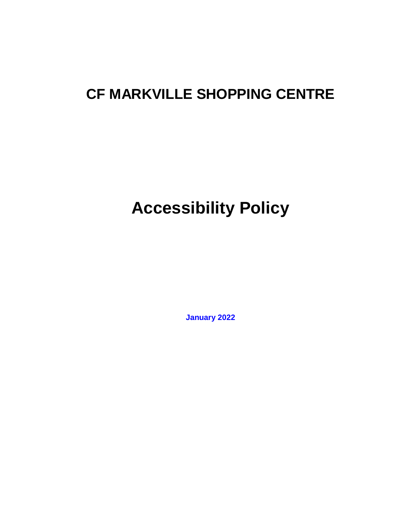## **CF MARKVILLE SHOPPING CENTRE**

# **Accessibility Policy**

**January 2022**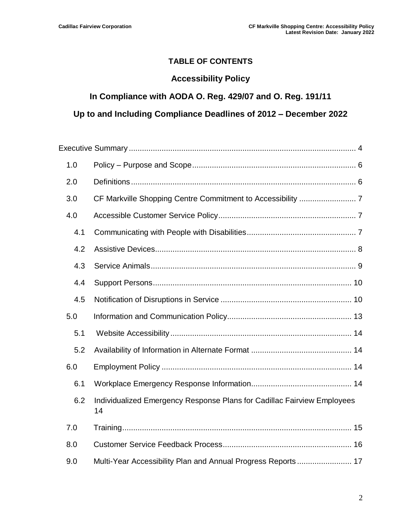#### **TABLE OF CONTENTS**

#### **Accessibility Policy**

#### **In Compliance with AODA O. Reg. 429/07 and O. Reg. 191/11**

#### **Up to and Including Compliance Deadlines of 2012 – December 2022**

| 1.0 |                                                                               |  |
|-----|-------------------------------------------------------------------------------|--|
| 2.0 |                                                                               |  |
| 3.0 |                                                                               |  |
| 4.0 |                                                                               |  |
| 4.1 |                                                                               |  |
| 4.2 |                                                                               |  |
| 4.3 |                                                                               |  |
| 4.4 |                                                                               |  |
| 4.5 |                                                                               |  |
| 5.0 |                                                                               |  |
| 5.1 |                                                                               |  |
| 5.2 |                                                                               |  |
| 6.0 |                                                                               |  |
| 6.1 |                                                                               |  |
| 6.2 | Individualized Emergency Response Plans for Cadillac Fairview Employees<br>14 |  |
| 7.0 |                                                                               |  |
| 8.0 |                                                                               |  |
| 9.0 | Multi-Year Accessibility Plan and Annual Progress Reports 17                  |  |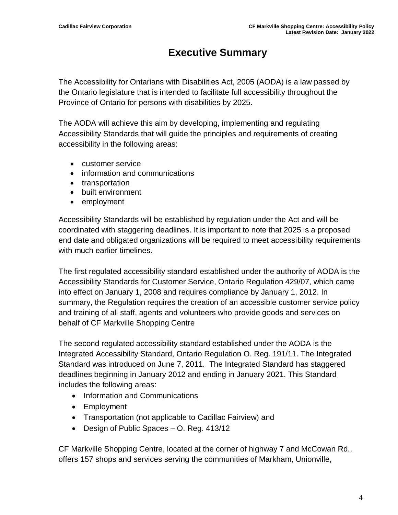## **Executive Summary**

<span id="page-3-0"></span>The Accessibility for Ontarians with Disabilities Act, 2005 (AODA) is a law passed by the Ontario legislature that is intended to facilitate full accessibility throughout the Province of Ontario for persons with disabilities by 2025.

The AODA will achieve this aim by developing, implementing and regulating Accessibility Standards that will guide the principles and requirements of creating accessibility in the following areas:

- customer service
- information and communications
- transportation
- built environment
- employment

Accessibility Standards will be established by regulation under the Act and will be coordinated with staggering deadlines. It is important to note that 2025 is a proposed end date and obligated organizations will be required to meet accessibility requirements with much earlier timelines.

The first regulated accessibility standard established under the authority of AODA is the Accessibility Standards for Customer Service, Ontario Regulation 429/07, which came into effect on January 1, 2008 and requires compliance by January 1, 2012. In summary, the Regulation requires the creation of an accessible customer service policy and training of all staff, agents and volunteers who provide goods and services on behalf of CF Markville Shopping Centre

The second regulated accessibility standard established under the AODA is the Integrated Accessibility Standard, Ontario Regulation O. Reg. 191/11. The Integrated Standard was introduced on June 7, 2011. The Integrated Standard has staggered deadlines beginning in January 2012 and ending in January 2021. This Standard includes the following areas:

- Information and Communications
- Employment
- Transportation (not applicable to Cadillac Fairview) and
- Design of Public Spaces O. Reg. 413/12

CF Markville Shopping Centre, located at the corner of highway 7 and McCowan Rd., offers 157 shops and services serving the communities of Markham, Unionville,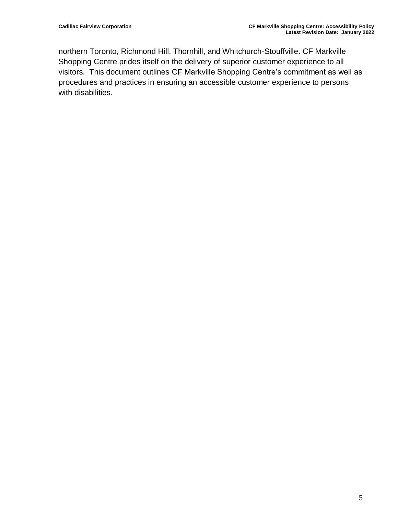northern Toronto, Richmond Hill, Thornhill, and Whitchurch-Stouffville. CF Markville Shopping Centre prides itself on the delivery of superior customer experience to all visitors. This document outlines CF Markville Shopping Centre's commitment as well as procedures and practices in ensuring an accessible customer experience to persons with disabilities.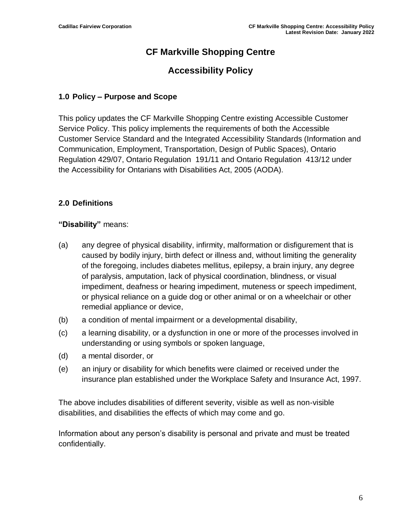## **CF Markville Shopping Centre**

## **Accessibility Policy**

#### <span id="page-5-0"></span>**1.0 Policy – Purpose and Scope**

This policy updates the CF Markville Shopping Centre existing Accessible Customer Service Policy. This policy implements the requirements of both the Accessible Customer Service Standard and the Integrated Accessibility Standards (Information and Communication, Employment, Transportation, Design of Public Spaces), Ontario Regulation 429/07, Ontario Regulation 191/11 and Ontario Regulation 413/12 under the Accessibility for Ontarians with Disabilities Act, 2005 (AODA).

#### <span id="page-5-1"></span>**2.0 Definitions**

#### **"Disability"** means:

- (a) any degree of physical disability, infirmity, malformation or disfigurement that is caused by bodily injury, birth defect or illness and, without limiting the generality of the foregoing, includes diabetes mellitus, epilepsy, a brain injury, any degree of paralysis, amputation, lack of physical coordination, blindness, or visual impediment, deafness or hearing impediment, muteness or speech impediment, or physical reliance on a guide dog or other animal or on a wheelchair or other remedial appliance or device,
- (b) a condition of mental impairment or a developmental disability,
- (c) a learning disability, or a dysfunction in one or more of the processes involved in understanding or using symbols or spoken language,
- (d) a mental disorder, or
- (e) an injury or disability for which benefits were claimed or received under the insurance plan established under the Workplace Safety and Insurance Act, 1997.

The above includes disabilities of different severity, visible as well as non-visible disabilities, and disabilities the effects of which may come and go.

Information about any person's disability is personal and private and must be treated confidentially.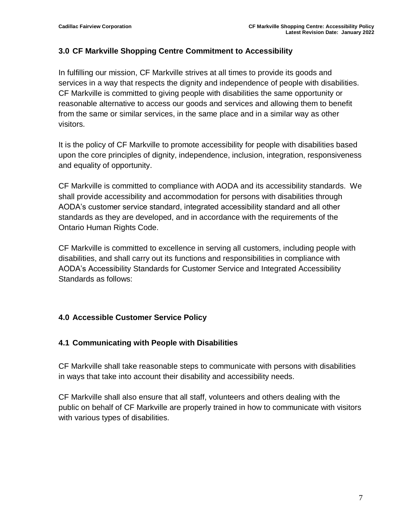#### <span id="page-6-0"></span>**3.0 CF Markville Shopping Centre Commitment to Accessibility**

In fulfilling our mission, CF Markville strives at all times to provide its goods and services in a way that respects the dignity and independence of people with disabilities. CF Markville is committed to giving people with disabilities the same opportunity or reasonable alternative to access our goods and services and allowing them to benefit from the same or similar services, in the same place and in a similar way as other visitors.

It is the policy of CF Markville to promote accessibility for people with disabilities based upon the core principles of dignity, independence, inclusion, integration, responsiveness and equality of opportunity.

CF Markville is committed to compliance with AODA and its accessibility standards. We shall provide accessibility and accommodation for persons with disabilities through AODA's customer service standard, integrated accessibility standard and all other standards as they are developed, and in accordance with the requirements of the Ontario Human Rights Code.

CF Markville is committed to excellence in serving all customers, including people with disabilities, and shall carry out its functions and responsibilities in compliance with AODA's Accessibility Standards for Customer Service and Integrated Accessibility Standards as follows:

#### <span id="page-6-1"></span>**4.0 Accessible Customer Service Policy**

#### <span id="page-6-2"></span>**4.1 Communicating with People with Disabilities**

CF Markville shall take reasonable steps to communicate with persons with disabilities in ways that take into account their disability and accessibility needs.

CF Markville shall also ensure that all staff, volunteers and others dealing with the public on behalf of CF Markville are properly trained in how to communicate with visitors with various types of disabilities.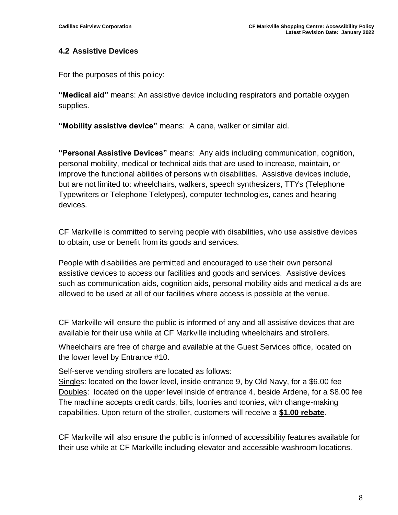#### <span id="page-7-0"></span>**4.2 Assistive Devices**

For the purposes of this policy:

**"Medical aid"** means: An assistive device including respirators and portable oxygen supplies.

**"Mobility assistive device"** means: A cane, walker or similar aid.

**"Personal Assistive Devices"** means: Any aids including communication, cognition, personal mobility, medical or technical aids that are used to increase, maintain, or improve the functional abilities of persons with disabilities. Assistive devices include, but are not limited to: wheelchairs, walkers, speech synthesizers, TTYs (Telephone Typewriters or Telephone Teletypes), computer technologies, canes and hearing devices.

CF Markville is committed to serving people with disabilities, who use assistive devices to obtain, use or benefit from its goods and services.

People with disabilities are permitted and encouraged to use their own personal assistive devices to access our facilities and goods and services. Assistive devices such as communication aids, cognition aids, personal mobility aids and medical aids are allowed to be used at all of our facilities where access is possible at the venue.

CF Markville will ensure the public is informed of any and all assistive devices that are available for their use while at CF Markville including wheelchairs and strollers.

Wheelchairs are free of charge and available at the Guest Services office, located on the lower level by Entrance #10.

Self-serve vending strollers are located as follows:

Singles: located on the lower level, inside entrance 9, by Old Navy, for a \$6.00 fee Doubles: located on the upper level inside of entrance 4, beside Ardene, for a \$8.00 fee The machine accepts credit cards, bills, loonies and toonies, with change-making capabilities. Upon return of the stroller, customers will receive a **\$1.00 rebate**.

CF Markville will also ensure the public is informed of accessibility features available for their use while at CF Markville including elevator and accessible washroom locations.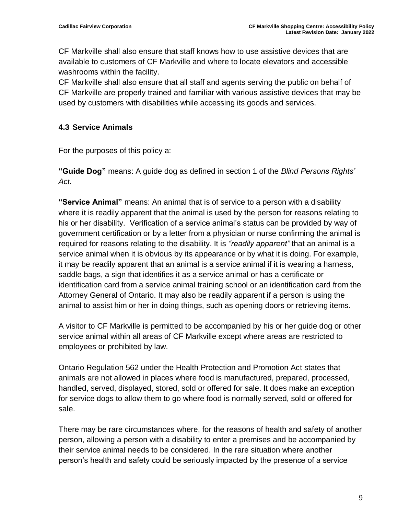CF Markville shall also ensure that staff knows how to use assistive devices that are available to customers of CF Markville and where to locate elevators and accessible washrooms within the facility.

CF Markville shall also ensure that all staff and agents serving the public on behalf of CF Markville are properly trained and familiar with various assistive devices that may be used by customers with disabilities while accessing its goods and services.

#### <span id="page-8-0"></span>**4.3 Service Animals**

For the purposes of this policy a:

**"Guide Dog"** means: A guide dog as defined in section 1 of the *Blind Persons Rights' Act.*

**"Service Animal"** means: An animal that is of service to a person with a disability where it is readily apparent that the animal is used by the person for reasons relating to his or her disability. Verification of a service animal's status can be provided by way of government certification or by a letter from a physician or nurse confirming the animal is required for reasons relating to the disability. It is *"readily apparent"* that an animal is a service animal when it is obvious by its appearance or by what it is doing. For example, it may be readily apparent that an animal is a service animal if it is wearing a harness, saddle bags, a sign that identifies it as a service animal or has a certificate or identification card from a service animal training school or an identification card from the Attorney General of Ontario. It may also be readily apparent if a person is using the animal to assist him or her in doing things, such as opening doors or retrieving items.

A visitor to CF Markville is permitted to be accompanied by his or her guide dog or other service animal within all areas of CF Markville except where areas are restricted to employees or prohibited by law.

Ontario Regulation 562 under the Health Protection and Promotion Act states that animals are not allowed in places where food is manufactured, prepared, processed, handled, served, displayed, stored, sold or offered for sale. It does make an exception for service dogs to allow them to go where food is normally served, sold or offered for sale.

There may be rare circumstances where, for the reasons of health and safety of another person, allowing a person with a disability to enter a premises and be accompanied by their service animal needs to be considered. In the rare situation where another person's health and safety could be seriously impacted by the presence of a service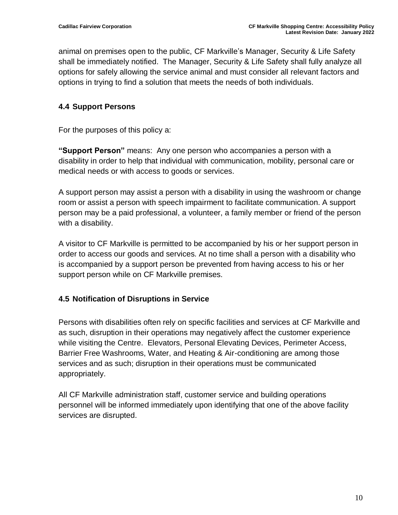animal on premises open to the public, CF Markville's Manager, Security & Life Safety shall be immediately notified. The Manager, Security & Life Safety shall fully analyze all options for safely allowing the service animal and must consider all relevant factors and options in trying to find a solution that meets the needs of both individuals.

#### <span id="page-9-0"></span>**4.4 Support Persons**

For the purposes of this policy a:

**"Support Person"** means: Any one person who accompanies a person with a disability in order to help that individual with communication, mobility, personal care or medical needs or with access to goods or services.

A support person may assist a person with a disability in using the washroom or change room or assist a person with speech impairment to facilitate communication. A support person may be a paid professional, a volunteer, a family member or friend of the person with a disability.

A visitor to CF Markville is permitted to be accompanied by his or her support person in order to access our goods and services. At no time shall a person with a disability who is accompanied by a support person be prevented from having access to his or her support person while on CF Markville premises.

#### <span id="page-9-1"></span>**4.5 Notification of Disruptions in Service**

Persons with disabilities often rely on specific facilities and services at CF Markville and as such, disruption in their operations may negatively affect the customer experience while visiting the Centre. Elevators, Personal Elevating Devices, Perimeter Access, Barrier Free Washrooms, Water, and Heating & Air-conditioning are among those services and as such; disruption in their operations must be communicated appropriately.

All CF Markville administration staff, customer service and building operations personnel will be informed immediately upon identifying that one of the above facility services are disrupted.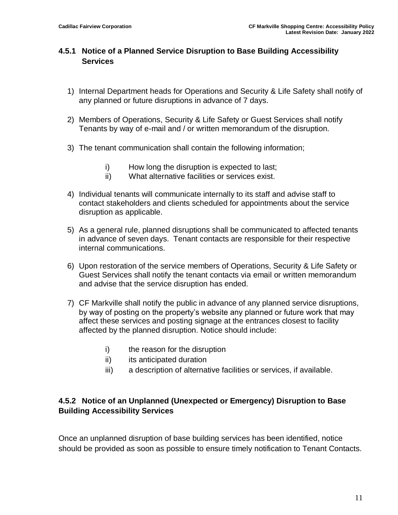#### **4.5.1 Notice of a Planned Service Disruption to Base Building Accessibility Services**

- 1) Internal Department heads for Operations and Security & Life Safety shall notify of any planned or future disruptions in advance of 7 days.
- 2) Members of Operations, Security & Life Safety or Guest Services shall notify Tenants by way of e-mail and / or written memorandum of the disruption.
- 3) The tenant communication shall contain the following information;
	- i) How long the disruption is expected to last;
	- ii) What alternative facilities or services exist.
- 4) Individual tenants will communicate internally to its staff and advise staff to contact stakeholders and clients scheduled for appointments about the service disruption as applicable.
- 5) As a general rule, planned disruptions shall be communicated to affected tenants in advance of seven days. Tenant contacts are responsible for their respective internal communications.
- 6) Upon restoration of the service members of Operations, Security & Life Safety or Guest Services shall notify the tenant contacts via email or written memorandum and advise that the service disruption has ended.
- 7) CF Markville shall notify the public in advance of any planned service disruptions, by way of posting on the property's website any planned or future work that may affect these services and posting signage at the entrances closest to facility affected by the planned disruption. Notice should include:
	- i) the reason for the disruption
	- ii) its anticipated duration
	- iii) a description of alternative facilities or services, if available.

#### **4.5.2 Notice of an Unplanned (Unexpected or Emergency) Disruption to Base Building Accessibility Services**

Once an unplanned disruption of base building services has been identified, notice should be provided as soon as possible to ensure timely notification to Tenant Contacts.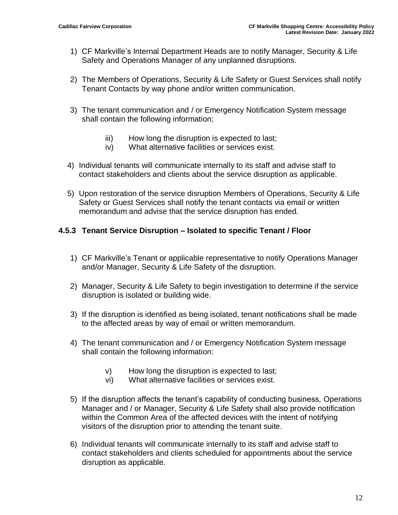- 1) CF Markville's Internal Department Heads are to notify Manager, Security & Life Safety and Operations Manager of any unplanned disruptions.
- 2) The Members of Operations, Security & Life Safety or Guest Services shall notify Tenant Contacts by way phone and/or written communication.
- 3) The tenant communication and / or Emergency Notification System message shall contain the following information;
	- iii) How long the disruption is expected to last;
	- iv) What alternative facilities or services exist.
- 4) Individual tenants will communicate internally to its staff and advise staff to contact stakeholders and clients about the service disruption as applicable.
- 5) Upon restoration of the service disruption Members of Operations, Security & Life Safety or Guest Services shall notify the tenant contacts via email or written memorandum and advise that the service disruption has ended.

#### **4.5.3 Tenant Service Disruption – Isolated to specific Tenant / Floor**

- 1) CF Markville's Tenant or applicable representative to notify Operations Manager and/or Manager, Security & Life Safety of the disruption.
- 2) Manager, Security & Life Safety to begin investigation to determine if the service disruption is isolated or building wide.
- 3) If the disruption is identified as being isolated, tenant notifications shall be made to the affected areas by way of email or written memorandum.
- 4) The tenant communication and / or Emergency Notification System message shall contain the following information:
	- v) How long the disruption is expected to last;
	- vi) What alternative facilities or services exist.
- 5) If the disruption affects the tenant's capability of conducting business, Operations Manager and / or Manager, Security & Life Safety shall also provide notification within the Common Area of the affected devices with the intent of notifying visitors of the disruption prior to attending the tenant suite.
- 6) Individual tenants will communicate internally to its staff and advise staff to contact stakeholders and clients scheduled for appointments about the service disruption as applicable.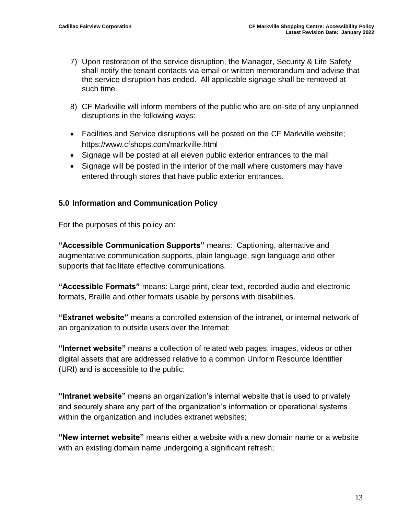- 7) Upon restoration of the service disruption, the Manager, Security & Life Safety shall notify the tenant contacts via email or written memorandum and advise that the service disruption has ended. All applicable signage shall be removed at such time.
- 8) CF Markville will inform members of the public who are on-site of any unplanned disruptions in the following ways:
- Facilities and Service disruptions will be posted on the CF Markville website; https://www.cfshops.com/markville.html
- Signage will be posted at all eleven public exterior entrances to the mall
- Signage will be posted in the interior of the mall where customers may have entered through stores that have public exterior entrances.

#### <span id="page-12-0"></span>**5.0 Information and Communication Policy**

For the purposes of this policy an:

**"Accessible Communication Supports"** means: Captioning, alternative and augmentative communication supports, plain language, sign language and other supports that facilitate effective communications.

**"Accessible Formats"** means: Large print, clear text, recorded audio and electronic formats, Braille and other formats usable by persons with disabilities.

**"Extranet website"** means a controlled extension of the intranet, or internal network of an organization to outside users over the Internet;

**"Internet website"** means a collection of related web pages, images, videos or other digital assets that are addressed relative to a common Uniform Resource Identifier (URI) and is accessible to the public;

**"Intranet website"** means an organization's internal website that is used to privately and securely share any part of the organization's information or operational systems within the organization and includes extranet websites;

**"New internet website"** means either a website with a new domain name or a website with an existing domain name undergoing a significant refresh;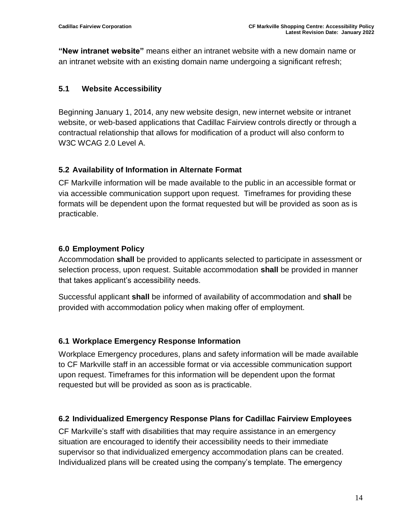**"New intranet website"** means either an intranet website with a new domain name or an intranet website with an existing domain name undergoing a significant refresh;

#### <span id="page-13-0"></span>**5.1 Website Accessibility**

Beginning January 1, 2014, any new website design, new internet website or intranet website, or web-based applications that Cadillac Fairview controls directly or through a contractual relationship that allows for modification of a product will also conform to W3C WCAG 2.0 Level A.

#### <span id="page-13-1"></span>**5.2 Availability of Information in Alternate Format**

CF Markville information will be made available to the public in an accessible format or via accessible communication support upon request. Timeframes for providing these formats will be dependent upon the format requested but will be provided as soon as is practicable.

#### <span id="page-13-2"></span>**6.0 Employment Policy**

Accommodation **shall** be provided to applicants selected to participate in assessment or selection process, upon request. Suitable accommodation **shall** be provided in manner that takes applicant's accessibility needs.

Successful applicant **shall** be informed of availability of accommodation and **shall** be provided with accommodation policy when making offer of employment.

#### <span id="page-13-3"></span>**6.1 Workplace Emergency Response Information**

Workplace Emergency procedures, plans and safety information will be made available to CF Markville staff in an accessible format or via accessible communication support upon request. Timeframes for this information will be dependent upon the format requested but will be provided as soon as is practicable.

#### <span id="page-13-4"></span>**6.2 Individualized Emergency Response Plans for Cadillac Fairview Employees**

CF Markville's staff with disabilities that may require assistance in an emergency situation are encouraged to identify their accessibility needs to their immediate supervisor so that individualized emergency accommodation plans can be created. Individualized plans will be created using the company's template. The emergency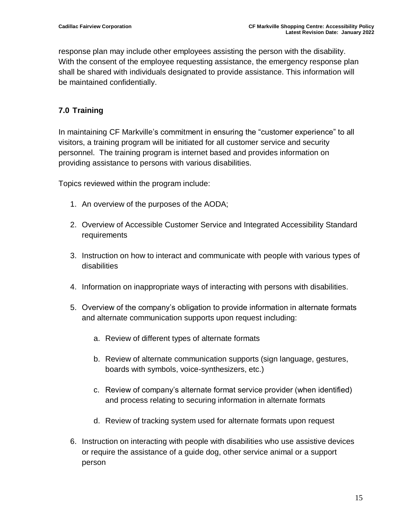response plan may include other employees assisting the person with the disability. With the consent of the employee requesting assistance, the emergency response plan shall be shared with individuals designated to provide assistance. This information will be maintained confidentially.

### <span id="page-14-0"></span>**7.0 Training**

In maintaining CF Markville's commitment in ensuring the "customer experience" to all visitors, a training program will be initiated for all customer service and security personnel. The training program is internet based and provides information on providing assistance to persons with various disabilities.

Topics reviewed within the program include:

- 1. An overview of the purposes of the AODA;
- 2. Overview of Accessible Customer Service and Integrated Accessibility Standard requirements
- 3. Instruction on how to interact and communicate with people with various types of disabilities
- 4. Information on inappropriate ways of interacting with persons with disabilities.
- 5. Overview of the company's obligation to provide information in alternate formats and alternate communication supports upon request including:
	- a. Review of different types of alternate formats
	- b. Review of alternate communication supports (sign language, gestures, boards with symbols, voice-synthesizers, etc.)
	- c. Review of company's alternate format service provider (when identified) and process relating to securing information in alternate formats
	- d. Review of tracking system used for alternate formats upon request
- 6. Instruction on interacting with people with disabilities who use assistive devices or require the assistance of a guide dog, other service animal or a support person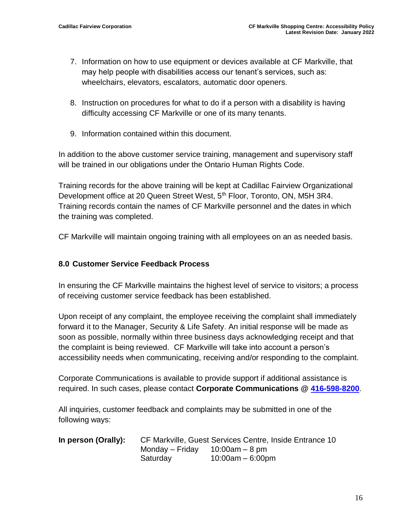- 7. Information on how to use equipment or devices available at CF Markville, that may help people with disabilities access our tenant's services, such as: wheelchairs, elevators, escalators, automatic door openers.
- 8. Instruction on procedures for what to do if a person with a disability is having difficulty accessing CF Markville or one of its many tenants.
- 9. Information contained within this document.

In addition to the above customer service training, management and supervisory staff will be trained in our obligations under the Ontario Human Rights Code.

Training records for the above training will be kept at Cadillac Fairview Organizational Development office at 20 Queen Street West, 5<sup>th</sup> Floor, Toronto, ON, M5H 3R4. Training records contain the names of CF Markville personnel and the dates in which the training was completed.

CF Markville will maintain ongoing training with all employees on an as needed basis.

#### <span id="page-15-0"></span>**8.0 Customer Service Feedback Process**

In ensuring the CF Markville maintains the highest level of service to visitors; a process of receiving customer service feedback has been established.

Upon receipt of any complaint, the employee receiving the complaint shall immediately forward it to the Manager, Security & Life Safety. An initial response will be made as soon as possible, normally within three business days acknowledging receipt and that the complaint is being reviewed. CF Markville will take into account a person's accessibility needs when communicating, receiving and/or responding to the complaint.

Corporate Communications is available to provide support if additional assistance is required. In such cases, please contact **Corporate Communications @ [416-598-8200](tel:416-598-8200)**.

All inquiries, customer feedback and complaints may be submitted in one of the following ways:

| In person (Orally): | CF Markville, Guest Services Centre, Inside Entrance 10 |                     |  |
|---------------------|---------------------------------------------------------|---------------------|--|
|                     | Monday – Friday $10:00$ am – 8 pm                       |                     |  |
|                     | Saturday                                                | $10:00$ am – 6:00pm |  |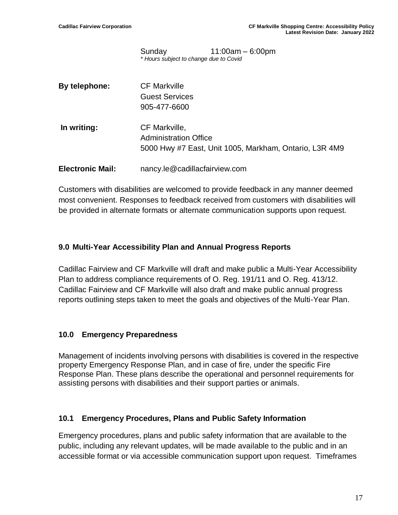Sunday 11:00am – 6:00pm *\* Hours subject to change due to Covid*

| By telephone:           | <b>CF Markville</b><br><b>Guest Services</b><br>905-477-6600                                            |
|-------------------------|---------------------------------------------------------------------------------------------------------|
| In writing:             | CF Markville,<br><b>Administration Office</b><br>5000 Hwy #7 East, Unit 1005, Markham, Ontario, L3R 4M9 |
| <b>Electronic Mail:</b> | nancy.le@cadillacfairview.com                                                                           |

Customers with disabilities are welcomed to provide feedback in any manner deemed most convenient. Responses to feedback received from customers with disabilities will be provided in alternate formats or alternate communication supports upon request.

#### <span id="page-16-0"></span>**9.0 Multi-Year Accessibility Plan and Annual Progress Reports**

Cadillac Fairview and CF Markville will draft and make public a Multi-Year Accessibility Plan to address compliance requirements of O. Reg. 191/11 and O. Reg. 413/12. Cadillac Fairview and CF Markville will also draft and make public annual progress reports outlining steps taken to meet the goals and objectives of the Multi-Year Plan.

#### <span id="page-16-1"></span>**10.0 Emergency Preparedness**

Management of incidents involving persons with disabilities is covered in the respective property Emergency Response Plan, and in case of fire, under the specific Fire Response Plan. These plans describe the operational and personnel requirements for assisting persons with disabilities and their support parties or animals.

#### **10.1 Emergency Procedures, Plans and Public Safety Information**

Emergency procedures, plans and public safety information that are available to the public, including any relevant updates, will be made available to the public and in an accessible format or via accessible communication support upon request. Timeframes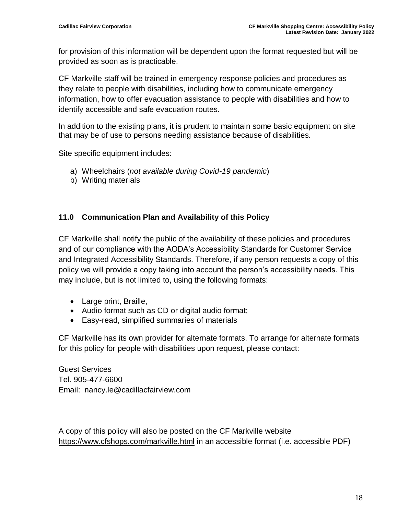for provision of this information will be dependent upon the format requested but will be provided as soon as is practicable.

CF Markville staff will be trained in emergency response policies and procedures as they relate to people with disabilities, including how to communicate emergency information, how to offer evacuation assistance to people with disabilities and how to identify accessible and safe evacuation routes.

In addition to the existing plans, it is prudent to maintain some basic equipment on site that may be of use to persons needing assistance because of disabilities.

Site specific equipment includes:

- a) Wheelchairs (*not available during Covid-19 pandemic*)
- b) Writing materials

#### <span id="page-17-0"></span>**11.0 Communication Plan and Availability of this Policy**

CF Markville shall notify the public of the availability of these policies and procedures and of our compliance with the AODA's Accessibility Standards for Customer Service and Integrated Accessibility Standards. Therefore, if any person requests a copy of this policy we will provide a copy taking into account the person's accessibility needs. This may include, but is not limited to, using the following formats:

- Large print, Braille,
- Audio format such as CD or digital audio format;
- Easy-read, simplified summaries of materials

CF Markville has its own provider for alternate formats. To arrange for alternate formats for this policy for people with disabilities upon request, please contact:

Guest Services Tel. 905-477-6600 Email: nancy.le@cadillacfairview.com

A copy of this policy will also be posted on the CF Markville website https://www.cfshops.com/markville.html in an accessible format (i.e. accessible PDF)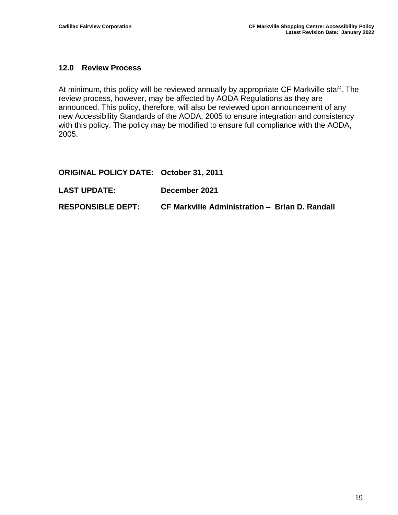#### <span id="page-18-0"></span>**12.0 Review Process**

At minimum, this policy will be reviewed annually by appropriate CF Markville staff. The review process, however, may be affected by AODA Regulations as they are announced. This policy, therefore, will also be reviewed upon announcement of any new Accessibility Standards of the AODA, 2005 to ensure integration and consistency with this policy. The policy may be modified to ensure full compliance with the AODA, 2005.

#### **ORIGINAL POLICY DATE: October 31, 2011**

**LAST UPDATE: December 2021**

#### **RESPONSIBLE DEPT: CF Markville Administration – Brian D. Randall**